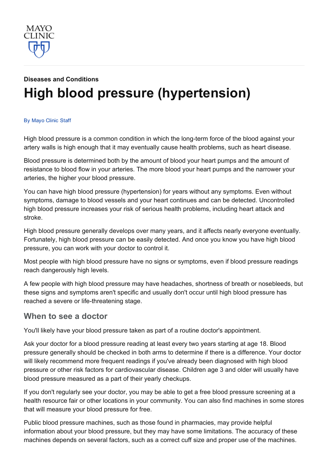

# Diseases and [Conditions](http://www.mayoclinic.org/diseases-conditions) High blood pressure [\(hypertension\)](http://www.mayoclinic.org/diseases-conditions/high-blood-pressure/basics/definition/con-20019580)

#### By [Mayo](http://www.mayoclinic.org/about-this-site/welcome) Clinic Staff

High blood pressure is a common condition in which the long-term force of the blood against your artery walls is high enough that it may eventually cause health problems, such as heart disease.

Blood pressure is determined both by the amount of blood your heart pumps and the amount of resistance to blood flow in your arteries. The more blood your heart pumps and the narrower your arteries, the higher your blood pressure.

You can have high blood pressure (hypertension) for years without any symptoms. Even without symptoms, damage to blood vessels and your heart continues and can be detected. Uncontrolled high blood pressure increases your risk of serious health problems, including heart attack and stroke.

High blood pressure generally develops over many years, and it affects nearly everyone eventually. Fortunately, high blood pressure can be easily detected. And once you know you have high blood pressure, you can work with your doctor to control it.

Most people with high blood pressure have no signs or symptoms, even if blood pressure readings reach dangerously high levels.

A few people with high blood pressure may have headaches, shortness of breath or nosebleeds, but these signs and symptoms aren't specific and usually don't occur until high blood pressure has reached a severe or life-threatening stage.

#### When to see a doctor

You'll likely have your blood pressure taken as part of a routine doctor's appointment.

Ask your doctor for a blood pressure reading at least every two years starting at age 18. Blood pressure generally should be checked in both arms to determine if there is a difference. Your doctor will likely recommend more frequent readings if you've already been diagnosed with high blood pressure or other risk factors for cardiovascular disease. Children age 3 and older will usually have blood pressure measured as a part of their yearly checkups.

If you don't regularly see your doctor, you may be able to get a free blood pressure screening at a health resource fair or other locations in your community. You can also find machines in some stores that will measure your blood pressure for free.

Public blood pressure machines, such as those found in pharmacies, may provide helpful information about your blood pressure, but they may have some limitations. The accuracy of these machines depends on several factors, such as a correct cuff size and proper use of the machines.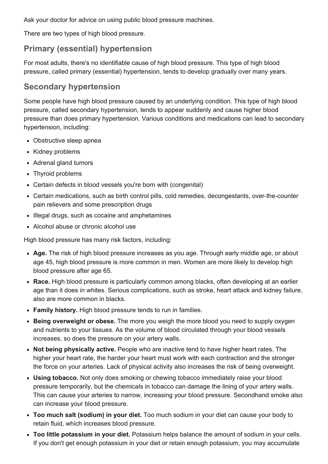Ask your doctor for advice on using public blood pressure machines.

There are two types of high blood pressure.

#### Primary (essential) hypertension

For most adults, there's no identifiable cause of high blood pressure. This type of high blood pressure, called primary (essential) hypertension, tends to develop gradually over many years.

#### Secondary hypertension

Some people have high blood pressure caused by an underlying condition. This type of high blood pressure, called secondary hypertension, tends to appear suddenly and cause higher blood pressure than does primary hypertension. Various conditions and medications can lead to secondary hypertension, including:

- Obstructive sleep apnea
- Kidney problems
- Adrenal gland tumors
- Thyroid problems
- Certain defects in blood vessels you're born with (congenital)
- Certain medications, such as birth control pills, cold remedies, decongestants, over-the-counter pain relievers and some prescription drugs
- Illegal drugs, such as cocaine and amphetamines
- Alcohol abuse or chronic alcohol use

High blood pressure has many risk factors, including:

- Age. The risk of high blood pressure increases as you age. Through early middle age, or about age 45, high blood pressure is more common in men. Women are more likely to develop high blood pressure after age 65.
- Race. High blood pressure is particularly common among blacks, often developing at an earlier age than it does in whites. Serious complications, such as stroke, heart attack and kidney failure, also are more common in blacks.
- Family history. High blood pressure tends to run in families.
- Being overweight or obese. The more you weigh the more blood you need to supply oxygen and nutrients to your tissues. As the volume of blood circulated through your blood vessels increases, so does the pressure on your artery walls.
- Not being physically active. People who are inactive tend to have higher heart rates. The higher your heart rate, the harder your heart must work with each contraction and the stronger the force on your arteries. Lack of physical activity also increases the risk of being overweight.
- Using tobacco. Not only does smoking or chewing tobacco immediately raise your blood pressure temporarily, but the chemicals in tobacco can damage the lining of your artery walls. This can cause your arteries to narrow, increasing your blood pressure. Secondhand smoke also can increase your blood pressure.
- Too much salt (sodium) in your diet. Too much sodium in your diet can cause your body to retain fluid, which increases blood pressure.
- Too little potassium in your diet. Potassium helps balance the amount of sodium in your cells. If you don't get enough potassium in your diet or retain enough potassium, you may accumulate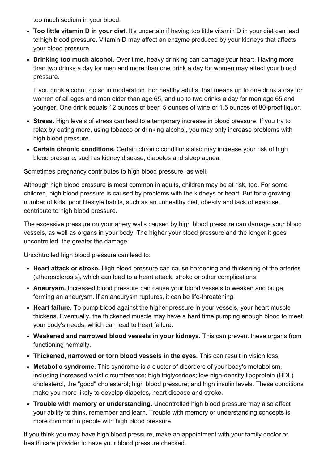too much sodium in your blood.

- Too little vitamin D in your diet. It's uncertain if having too little vitamin D in your diet can lead to high blood pressure. Vitamin D may affect an enzyme produced by your kidneys that affects your blood pressure.
- Drinking too much alcohol. Over time, heavy drinking can damage your heart. Having more than two drinks a day for men and more than one drink a day for women may affect your blood pressure.

If you drink alcohol, do so in moderation. For healthy adults, that means up to one drink a day for women of all ages and men older than age 65, and up to two drinks a day for men age 65 and younger. One drink equals 12 ounces of beer, 5 ounces of wine or 1.5 ounces of 80-proof liquor.

- Stress. High levels of stress can lead to a temporary increase in blood pressure. If you try to relax by eating more, using tobacco or drinking alcohol, you may only increase problems with high blood pressure.
- Certain chronic conditions. Certain chronic conditions also may increase your risk of high blood pressure, such as kidney disease, diabetes and sleep apnea.

Sometimes pregnancy contributes to high blood pressure, as well.

Although high blood pressure is most common in adults, children may be at risk, too. For some children, high blood pressure is caused by problems with the kidneys or heart. But for a growing number of kids, poor lifestyle habits, such as an unhealthy diet, obesity and lack of exercise, contribute to high blood pressure.

The excessive pressure on your artery walls caused by high blood pressure can damage your blood vessels, as well as organs in your body. The higher your blood pressure and the longer it goes uncontrolled, the greater the damage.

Uncontrolled high blood pressure can lead to:

- Heart attack or stroke. High blood pressure can cause hardening and thickening of the arteries (atherosclerosis), which can lead to a heart attack, stroke or other complications.
- Aneurysm. Increased blood pressure can cause your blood vessels to weaken and bulge, forming an aneurysm. If an aneurysm ruptures, it can be life-threatening.
- Heart failure. To pump blood against the higher pressure in your vessels, your heart muscle thickens. Eventually, the thickened muscle may have a hard time pumping enough blood to meet your body's needs, which can lead to heart failure.
- Weakened and narrowed blood vessels in your kidneys. This can prevent these organs from functioning normally.
- Thickened, narrowed or torn blood vessels in the eyes. This can result in vision loss.
- Metabolic syndrome. This syndrome is a cluster of disorders of your body's metabolism, including increased waist circumference; high triglycerides; low high-density lipoprotein (HDL) cholesterol, the "good" cholesterol; high blood pressure; and high insulin levels. These conditions make you more likely to develop diabetes, heart disease and stroke.
- Trouble with memory or understanding. Uncontrolled high blood pressure may also affect your ability to think, remember and learn. Trouble with memory or understanding concepts is more common in people with high blood pressure.

If you think you may have high blood pressure, make an appointment with your family doctor or health care provider to have your blood pressure checked.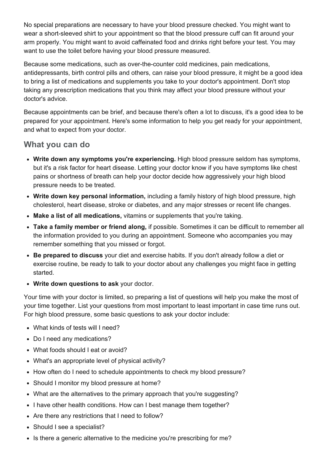No special preparations are necessary to have your blood pressure checked. You might want to wear a short-sleeved shirt to your appointment so that the blood pressure cuff can fit around your arm properly. You might want to avoid caffeinated food and drinks right before your test. You may want to use the toilet before having your blood pressure measured.

Because some medications, such as over-the-counter cold medicines, pain medications, antidepressants, birth control pills and others, can raise your blood pressure, it might be a good idea to bring a list of medications and supplements you take to your doctor's appointment. Don't stop taking any prescription medications that you think may affect your blood pressure without your doctor's advice.

Because appointments can be brief, and because there's often a lot to discuss, it's a good idea to be prepared for your appointment. Here's some information to help you get ready for your appointment, and what to expect from your doctor.

#### What you can do

- Write down any symptoms you're experiencing. High blood pressure seldom has symptoms, but it's a risk factor for heart disease. Letting your doctor know if you have symptoms like chest pains or shortness of breath can help your doctor decide how aggressively your high blood pressure needs to be treated.
- Write down key personal information, including a family history of high blood pressure, high cholesterol, heart disease, stroke or diabetes, and any major stresses or recent life changes.
- Make a list of all medications, vitamins or supplements that you're taking.
- Take a family member or friend along, if possible. Sometimes it can be difficult to remember all the information provided to you during an appointment. Someone who accompanies you may remember something that you missed or forgot.
- Be prepared to discuss your diet and exercise habits. If you don't already follow a diet or exercise routine, be ready to talk to your doctor about any challenges you might face in getting started.
- Write down questions to ask your doctor.

Your time with your doctor is limited, so preparing a list of questions will help you make the most of your time together. List your questions from most important to least important in case time runs out. For high blood pressure, some basic questions to ask your doctor include:

- What kinds of tests will I need?
- Do I need any medications?
- What foods should I eat or avoid?
- What's an appropriate level of physical activity?
- How often do I need to schedule appointments to check my blood pressure?
- Should I monitor my blood pressure at home?
- What are the alternatives to the primary approach that you're suggesting?
- I have other health conditions. How can I best manage them together?
- Are there any restrictions that I need to follow?
- Should I see a specialist?
- Is there a generic alternative to the medicine you're prescribing for me?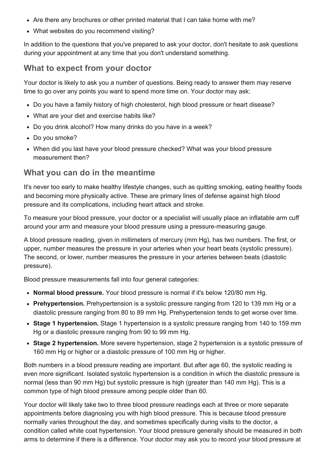- Are there any brochures or other printed material that I can take home with me?
- What websites do you recommend visiting?

In addition to the questions that you've prepared to ask your doctor, don't hesitate to ask questions during your appointment at any time that you don't understand something.

#### What to expect from your doctor

Your doctor is likely to ask you a number of questions. Being ready to answer them may reserve time to go over any points you want to spend more time on. Your doctor may ask:

- Do you have a family history of high cholesterol, high blood pressure or heart disease?
- What are your diet and exercise habits like?
- Do you drink alcohol? How many drinks do you have in a week?
- Do you smoke?
- When did you last have your blood pressure checked? What was your blood pressure measurement then?

#### What you can do in the meantime

It's never too early to make healthy lifestyle changes, such as quitting smoking, eating healthy foods and becoming more physically active. These are primary lines of defense against high blood pressure and its complications, including heart attack and stroke.

To measure your blood pressure, your doctor or a specialist will usually place an inflatable arm cuff around your arm and measure your blood pressure using a pressure-measuring gauge.

A blood pressure reading, given in millimeters of mercury (mm Hg), has two numbers. The first, or upper, number measures the pressure in your arteries when your heart beats (systolic pressure). The second, or lower, number measures the pressure in your arteries between beats (diastolic pressure).

Blood pressure measurements fall into four general categories:

- Normal blood pressure. Your blood pressure is normal if it's below 120/80 mm Hg.
- Prehypertension. Prehypertension is a systolic pressure ranging from 120 to 139 mm Hg or a diastolic pressure ranging from 80 to 89 mm Hg. Prehypertension tends to get worse over time.
- Stage 1 hypertension. Stage 1 hypertension is a systolic pressure ranging from 140 to 159 mm Hg or a diastolic pressure ranging from 90 to 99 mm Hg.
- Stage 2 hypertension. More severe hypertension, stage 2 hypertension is a systolic pressure of 160 mm Hg or higher or a diastolic pressure of 100 mm Hg or higher.

Both numbers in a blood pressure reading are important. But after age 60, the systolic reading is even more significant. Isolated systolic hypertension is a condition in which the diastolic pressure is normal (less than 90 mm Hg) but systolic pressure is high (greater than 140 mm Hg). This is a common type of high blood pressure among people older than 60.

Your doctor will likely take two to three blood pressure readings each at three or more separate appointments before diagnosing you with high blood pressure. This is because blood pressure normally varies throughout the day, and sometimes specifically during visits to the doctor, a condition called white coat hypertension. Your blood pressure generally should be measured in both arms to determine if there is a difference. Your doctor may ask you to record your blood pressure at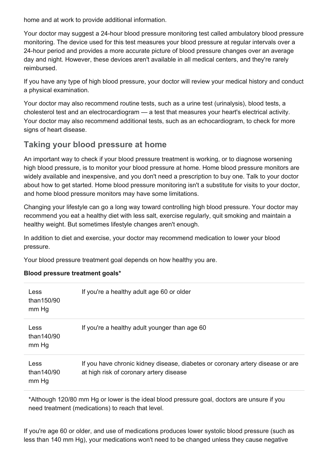home and at work to provide additional information.

Your doctor may suggest a 24-hour blood pressure monitoring test called ambulatory blood pressure monitoring. The device used for this test measures your blood pressure at regular intervals over a 24hour period and provides a more accurate picture of blood pressure changes over an average day and night. However, these devices aren't available in all medical centers, and they're rarely reimbursed.

If you have any type of high blood pressure, your doctor will review your medical history and conduct a physical examination.

Your doctor may also recommend routine tests, such as a urine test (urinalysis), blood tests, a cholesterol test and an electrocardiogram — a test that measures your heart's electrical activity. Your doctor may also recommend additional tests, such as an echocardiogram, to check for more signs of heart disease.

#### Taking your blood pressure at home

An important way to check if your blood pressure treatment is working, or to diagnose worsening high blood pressure, is to monitor your blood pressure at home. Home blood pressure monitors are widely available and inexpensive, and you don't need a prescription to buy one. Talk to your doctor about how to get started. Home blood pressure monitoring isn't a substitute for visits to your doctor, and home blood pressure monitors may have some limitations.

Changing your lifestyle can go a long way toward controlling high blood pressure. Your doctor may recommend you eat a healthy diet with less salt, exercise regularly, quit smoking and maintain a healthy weight. But sometimes lifestyle changes aren't enough.

In addition to diet and exercise, your doctor may recommend medication to lower your blood pressure.

Your blood pressure treatment goal depends on how healthy you are.

#### Blood pressure treatment goals\*

| Less<br>than150/90<br>mm Hg | If you're a healthy adult age 60 or older                                                                                 |
|-----------------------------|---------------------------------------------------------------------------------------------------------------------------|
| Less<br>than140/90<br>mm Hg | If you're a healthy adult younger than age 60                                                                             |
| Less<br>than140/90<br>mm Hg | If you have chronic kidney disease, diabetes or coronary artery disease or are<br>at high risk of coronary artery disease |

\*Although 120/80 mm Hg or lower is the ideal blood pressure goal, doctors are unsure if you need treatment (medications) to reach that level.

If you're age 60 or older, and use of medications produces lower systolic blood pressure (such as less than 140 mm Hg), your medications won't need to be changed unless they cause negative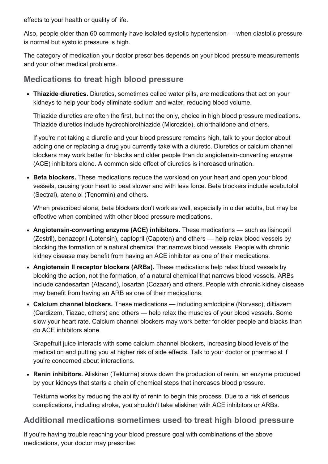effects to your health or quality of life.

Also, people older than 60 commonly have isolated systolic hypertension — when diastolic pressure is normal but systolic pressure is high.

The category of medication your doctor prescribes depends on your blood pressure measurements and your other medical problems.

#### Medications to treat high blood pressure

• Thiazide diuretics. Diuretics, sometimes called water pills, are medications that act on your kidneys to help your body eliminate sodium and water, reducing blood volume.

Thiazide diuretics are often the first, but not the only, choice in high blood pressure medications. Thiazide diuretics include hydrochlorothiazide (Microzide), chlorthalidone and others.

If you're not taking a diuretic and your blood pressure remains high, talk to your doctor about adding one or replacing a drug you currently take with a diuretic. Diuretics or calcium channel blockers may work better for blacks and older people than do angiotensin-converting enzyme (ACE) inhibitors alone. A common side effect of diuretics is increased urination.

• Beta blockers. These medications reduce the workload on your heart and open your blood vessels, causing your heart to beat slower and with less force. Beta blockers include acebutolol (Sectral), atenolol (Tenormin) and others.

When prescribed alone, beta blockers don't work as well, especially in older adults, but may be effective when combined with other blood pressure medications.

- Angiotensin-converting enzyme (ACE) inhibitors. These medications such as lisinopril (Zestril), benazepril (Lotensin), captopril (Capoten) and others — help relax blood vessels by blocking the formation of a natural chemical that narrows blood vessels. People with chronic kidney disease may benefit from having an ACE inhibitor as one of their medications.
- Angiotensin II receptor blockers (ARBs). These medications help relax blood vessels by blocking the action, not the formation, of a natural chemical that narrows blood vessels. ARBs include candesartan (Atacand), losartan (Cozaar) and others. People with chronic kidney disease may benefit from having an ARB as one of their medications.
- Calcium channel blockers. These medications including amlodipine (Norvasc), diltiazem (Cardizem, Tiazac, others) and others — help relax the muscles of your blood vessels. Some slow your heart rate. Calcium channel blockers may work better for older people and blacks than do ACE inhibitors alone.

Grapefruit juice interacts with some calcium channel blockers, increasing blood levels of the medication and putting you at higher risk of side effects. Talk to your doctor or pharmacist if you're concerned about interactions.

• Renin inhibitors. Aliskiren (Tekturna) slows down the production of renin, an enzyme produced by your kidneys that starts a chain of chemical steps that increases blood pressure.

Tekturna works by reducing the ability of renin to begin this process. Due to a risk of serious complications, including stroke, you shouldn't take aliskiren with ACE inhibitors or ARBs.

#### Additional medications sometimes used to treat high blood pressure

If you're having trouble reaching your blood pressure goal with combinations of the above medications, your doctor may prescribe: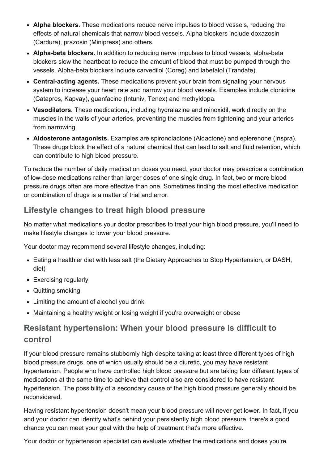- Alpha blockers. These medications reduce nerve impulses to blood vessels, reducing the effects of natural chemicals that narrow blood vessels. Alpha blockers include doxazosin (Cardura), prazosin (Minipress) and others.
- Alpha-beta blockers. In addition to reducing nerve impulses to blood vessels, alpha-beta blockers slow the heartbeat to reduce the amount of blood that must be pumped through the vessels. Alpha-beta blockers include carvedilol (Coreg) and labetalol (Trandate).
- Central-acting agents. These medications prevent your brain from signaling your nervous system to increase your heart rate and narrow your blood vessels. Examples include clonidine (Catapres, Kapvay), guanfacine (Intuniv, Tenex) and methyldopa.
- Vasodilators. These medications, including hydralazine and minoxidil, work directly on the muscles in the walls of your arteries, preventing the muscles from tightening and your arteries from narrowing.
- Aldosterone antagonists. Examples are spironolactone (Aldactone) and eplerenone (Inspra). These drugs block the effect of a natural chemical that can lead to salt and fluid retention, which can contribute to high blood pressure.

To reduce the number of daily medication doses you need, your doctor may prescribe a combination of low-dose medications rather than larger doses of one single drug. In fact, two or more blood pressure drugs often are more effective than one. Sometimes finding the most effective medication or combination of drugs is a matter of trial and error.

### Lifestyle changes to treat high blood pressure

No matter what medications your doctor prescribes to treat your high blood pressure, you'll need to make lifestyle changes to lower your blood pressure.

Your doctor may recommend several lifestyle changes, including:

- Eating a healthier diet with less salt (the Dietary Approaches to Stop Hypertension, or DASH, diet)
- Exercising regularly
- Quitting smoking
- Limiting the amount of alcohol you drink
- Maintaining a healthy weight or losing weight if you're overweight or obese

## Resistant hypertension: When your blood pressure is difficult to control

If your blood pressure remains stubbornly high despite taking at least three different types of high blood pressure drugs, one of which usually should be a diuretic, you may have resistant hypertension. People who have controlled high blood pressure but are taking four different types of medications at the same time to achieve that control also are considered to have resistant hypertension. The possibility of a secondary cause of the high blood pressure generally should be reconsidered.

Having resistant hypertension doesn't mean your blood pressure will never get lower. In fact, if you and your doctor can identify what's behind your persistently high blood pressure, there's a good chance you can meet your goal with the help of treatment that's more effective.

Your doctor or hypertension specialist can evaluate whether the medications and doses you're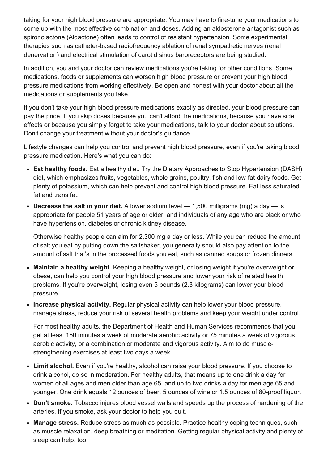taking for your high blood pressure are appropriate. You may have to fine-tune your medications to come up with the most effective combination and doses. Adding an aldosterone antagonist such as spironolactone (Aldactone) often leads to control of resistant hypertension. Some experimental therapies such as catheter-based radiofrequency ablation of renal sympathetic nerves (renal denervation) and electrical stimulation of carotid sinus baroreceptors are being studied.

In addition, you and your doctor can review medications you're taking for other conditions. Some medications, foods or supplements can worsen high blood pressure or prevent your high blood pressure medications from working effectively. Be open and honest with your doctor about all the medications or supplements you take.

If you don't take your high blood pressure medications exactly as directed, your blood pressure can pay the price. If you skip doses because you can't afford the medications, because you have side effects or because you simply forget to take your medications, talk to your doctor about solutions. Don't change your treatment without your doctor's guidance.

Lifestyle changes can help you control and prevent high blood pressure, even if you're taking blood pressure medication. Here's what you can do:

- Eat healthy foods. Eat a healthy diet. Try the Dietary Approaches to Stop Hypertension (DASH) diet, which emphasizes fruits, vegetables, whole grains, poultry, fish and low-fat dairy foods. Get plenty of potassium, which can help prevent and control high blood pressure. Eat less saturated fat and trans fat.
- Decrease the salt in your diet. A lower sodium level  $-$  1,500 milligrams (mg) a day  $-$  is appropriate for people 51 years of age or older, and individuals of any age who are black or who have hypertension, diabetes or chronic kidney disease.

Otherwise healthy people can aim for 2,300 mg a day or less. While you can reduce the amount of salt you eat by putting down the saltshaker, you generally should also pay attention to the amount of salt that's in the processed foods you eat, such as canned soups or frozen dinners.

- Maintain a healthy weight. Keeping a healthy weight, or losing weight if you're overweight or obese, can help you control your high blood pressure and lower your risk of related health problems. If you're overweight, losing even 5 pounds (2.3 kilograms) can lower your blood pressure.
- Increase physical activity. Regular physical activity can help lower your blood pressure, manage stress, reduce your risk of several health problems and keep your weight under control.

For most healthy adults, the Department of Health and Human Services recommends that you get at least 150 minutes a week of moderate aerobic activity or 75 minutes a week of vigorous aerobic activity, or a combination or moderate and vigorous activity. Aim to do musclestrengthening exercises at least two days a week.

- Limit alcohol. Even if you're healthy, alcohol can raise your blood pressure. If you choose to drink alcohol, do so in moderation. For healthy adults, that means up to one drink a day for women of all ages and men older than age 65, and up to two drinks a day for men age 65 and younger. One drink equals 12 ounces of beer, 5 ounces of wine or 1.5 ounces of 80-proof liquor.
- Don't smoke. Tobacco injures blood vessel walls and speeds up the process of hardening of the arteries. If you smoke, ask your doctor to help you quit.
- Manage stress. Reduce stress as much as possible. Practice healthy coping techniques, such as muscle relaxation, deep breathing or meditation. Getting regular physical activity and plenty of sleep can help, too.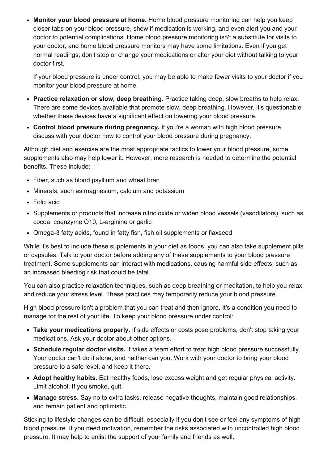• Monitor your blood pressure at home. Home blood pressure monitoring can help you keep closer tabs on your blood pressure, show if medication is working, and even alert you and your doctor to potential complications. Home blood pressure monitoring isn't a substitute for visits to your doctor, and home blood pressure monitors may have some limitations. Even if you get normal readings, don't stop or change your medications or alter your diet without talking to your doctor first.

If your blood pressure is under control, you may be able to make fewer visits to your doctor if you monitor your blood pressure at home.

- Practice relaxation or slow, deep breathing. Practice taking deep, slow breaths to help relax. There are some devices available that promote slow, deep breathing. However, it's questionable whether these devices have a significant effect on lowering your blood pressure.
- Control blood pressure during pregnancy. If you're a woman with high blood pressure, discuss with your doctor how to control your blood pressure during pregnancy.

Although diet and exercise are the most appropriate tactics to lower your blood pressure, some supplements also may help lower it. However, more research is needed to determine the potential benefits. These include:

- Fiber, such as blond psyllium and wheat bran
- Minerals, such as magnesium, calcium and potassium
- Folic acid
- Supplements or products that increase nitric oxide or widen blood vessels (vasodilators), such as cocoa, coenzyme Q10, L-arginine or garlic
- Omega-3 fatty acids, found in fatty fish, fish oil supplements or flaxseed

While it's best to include these supplements in your diet as foods, you can also take supplement pills or capsules. Talk to your doctor before adding any of these supplements to your blood pressure treatment. Some supplements can interact with medications, causing harmful side effects, such as an increased bleeding risk that could be fatal.

You can also practice relaxation techniques, such as deep breathing or meditation, to help you relax and reduce your stress level. These practices may temporarily reduce your blood pressure.

High blood pressure isn't a problem that you can treat and then ignore. It's a condition you need to manage for the rest of your life. To keep your blood pressure under control:

- Take your medications properly. If side effects or costs pose problems, don't stop taking your medications. Ask your doctor about other options.
- Schedule regular doctor visits. It takes a team effort to treat high blood pressure successfully. Your doctor can't do it alone, and neither can you. Work with your doctor to bring your blood pressure to a safe level, and keep it there.
- Adopt healthy habits. Eat healthy foods, lose excess weight and get regular physical activity. Limit alcohol. If you smoke, quit.
- Manage stress. Say no to extra tasks, release negative thoughts, maintain good relationships, and remain patient and optimistic.

Sticking to lifestyle changes can be difficult, especially if you don't see or feel any symptoms of high blood pressure. If you need motivation, remember the risks associated with uncontrolled high blood pressure. It may help to enlist the support of your family and friends as well.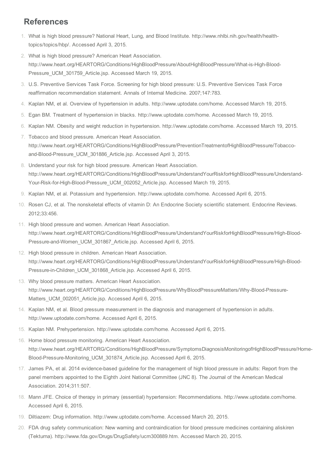### References

- 1. What is high blood pressure? National Heart, Lung, and Blood Institute. http://www.nhlbi.nih.gov/health/healthtopics/topics/hbp/. Accessed April 3, 2015.
- 2. What is high blood pressure? American Heart Association. http://www.heart.org/HEARTORG/Conditions/HighBloodPressure/AboutHighBloodPressure/What-is-High-Blood-Pressure\_UCM\_301759\_Article.jsp. Accessed March 19, 2015.
- 3. U.S. Preventive Services Task Force. Screening for high blood pressure: U.S. Preventive Services Task Force reaffirmation recommendation statement. Annals of Internal Medicine. 2007;147:783.
- 4. Kaplan NM, et al. Overview of hypertension in adults. http://www.uptodate.com/home. Accessed March 19, 2015.
- 5. Egan BM. Treatment of hypertension in blacks. http://www.uptodate.com/home. Accessed March 19, 2015.
- 6. Kaplan NM. Obesity and weight reduction in hypertension. http://www.uptodate.com/home. Accessed March 19, 2015.
- 7. Tobacco and blood pressure. American Heart Association. http://www.heart.org/HEARTORG/Conditions/HighBloodPressure/PreventionTreatmentofHighBloodPressure/Tobaccoand-Blood-Pressure\_UCM\_301886\_Article.jsp. Accessed April 3, 2015.
- 8. Understand your risk for high blood pressure. American Heart Association. http://www.heart.org/HEARTORG/Conditions/HighBloodPressure/UnderstandYourRiskforHighBloodPressure/Understand-Your-Risk-for-High-Blood-Pressure\_UCM\_002052\_Article.jsp. Accessed March 19, 2015.
- 9. Kaplan NM, et al. Potassium and hypertension. http://www.uptodate.com/home. Accessed April 6, 2015.
- 10. Rosen CJ, et al. The nonskeletal effects of vitamin D: An Endocrine Society scientific statement. Endocrine Reviews. 2012;33:456.
- 11. High blood pressure and women. American Heart Association. http://www.heart.org/HEARTORG/Conditions/HighBloodPressure/UnderstandYourRiskforHighBloodPressure/High-Blood-Pressure-and-Women\_UCM\_301867\_Article.jsp. Accessed April 6, 2015.
- 12. High blood pressure in children. American Heart Association. http://www.heart.org/HEARTORG/Conditions/HighBloodPressure/UnderstandYourRiskforHighBloodPressure/High-Blood-Pressure-in-Children\_UCM\_301868\_Article.jsp. Accessed April 6, 2015.
- 13. Why blood pressure matters. American Heart Association. http://www.heart.org/HEARTORG/Conditions/HighBloodPressure/WhyBloodPressureMatters/Why-Blood-Pressure-Matters\_UCM\_002051\_Article.jsp. Accessed April 6, 2015.
- 14. Kaplan NM, et al. Blood pressure measurement in the diagnosis and management of hypertension in adults. http://www.uptodate.com/home. Accessed April 6, 2015.
- 15. Kaplan NM. Prehypertension. http://www.uptodate.com/home. Accessed April 6, 2015.
- 16. Home blood pressure monitoring. American Heart Association. http://www.heart.org/HEARTORG/Conditions/HighBloodPressure/SymptomsDiagnosisMonitoringofHighBloodPressure/Home-Blood-Pressure-Monitoring\_UCM\_301874\_Article.jsp. Accessed April 6, 2015.
- 17. James PA, et al. 2014 evidence-based guideline for the management of high blood pressure in adults: Report from the panel members appointed to the Eighth Joint National Committee (JNC 8). The Journal of the American Medical Association. 2014;311:507.
- 18. Mann JFE. Choice of therapy in primary (essential) hypertension: Recommendations. http://www.uptodate.com/home. Accessed April 6, 2015.
- 19. Diltiazem: Drug information. http://www.uptodate.com/home. Accessed March 20, 2015.
- 20. FDA drug safety communication: New warning and contraindication for blood pressure medicines containing aliskiren (Tekturna). http://www.fda.gov/Drugs/DrugSafety/ucm300889.htm. Accessed March 20, 2015.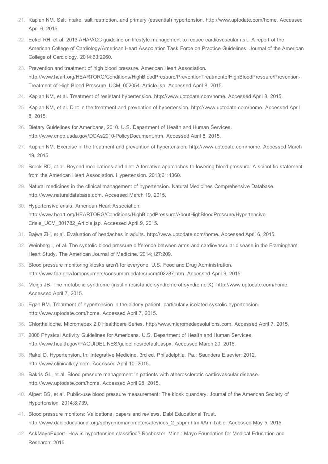- 21. Kaplan NM. Salt intake, salt restriction, and primary (essential) hypertension. http://www.uptodate.com/home. Accessed April 6, 2015.
- 22. Eckel RH, et al. 2013 AHA/ACC guideline on lifestyle management to reduce cardiovascular risk: A report of the American College of Cardiology/American Heart Association Task Force on Practice Guidelines. Journal of the American College of Cardiology. 2014;63:2960.
- 23. Prevention and treatment of high blood pressure. American Heart Association. http://www.heart.org/HEARTORG/Conditions/HighBloodPressure/PreventionTreatmentofHighBloodPressure/Prevention-Treatment-of-High-Blood-Pressure UCM 002054 Article.jsp. Accessed April 8, 2015.
- 24. Kaplan NM, et al. Treatment of resistant hypertension. http://www.uptodate.com/home. Accessed April 8, 2015.
- 25. Kaplan NM, et al. Diet in the treatment and prevention of hypertension. http://www.uptodate.com/home. Accessed April 8, 2015.
- 26. Dietary Guidelines for Americans, 2010. U.S. Department of Health and Human Services. http://www.cnpp.usda.gov/DGAs2010-PolicyDocument.htm. Accessed April 8, 2015.
- 27. Kaplan NM. Exercise in the treatment and prevention of hypertension. http://www.uptodate.com/home. Accessed March 19, 2015.
- 28. Brook RD, et al. Beyond medications and diet: Alternative approaches to lowering blood pressure: A scientific statement from the American Heart Association. Hypertension. 2013;61:1360.
- 29. Natural medicines in the clinical management of hypertension. Natural Medicines Comprehensive Database. http://www.naturaldatabase.com. Accessed March 19, 2015.
- 30. Hypertensive crisis. American Heart Association. http://www.heart.org/HEARTORG/Conditions/HighBloodPressure/AboutHighBloodPressure/Hypertensive-Crisis\_UCM\_301782\_Article.jsp. Accessed April 9, 2015.
- 31. Bajwa ZH, et al. Evaluation of headaches in adults. http://www.uptodate.com/home. Accessed April 6, 2015.
- 32. Weinberg I, et al. The systolic blood pressure difference between arms and cardiovascular disease in the Framingham Heart Study. The American Journal of Medicine. 2014;127:209.
- 33. Blood pressure monitoring kiosks aren't for everyone. U.S. Food and Drug Administration. http://www.fda.gov/forconsumers/consumerupdates/ucm402287.htm. Accessed April 9, 2015.
- 34. Meigs JB. The metabolic syndrome (insulin resistance syndrome of syndrome X). http://www.uptodate.com/home. Accessed April 7, 2015.
- 35. Egan BM. Treatment of hypertension in the elderly patient, particularly isolated systolic hypertension. http://www.uptodate.com/home. Accessed April 7, 2015.
- 36. Chlorthalidone. Micromedex 2.0 Healthcare Series. http://www.micromedexsolutions.com. Accessed April 7, 2015.
- 37. 2008 Physical Activity Guidelines for Americans. U.S. Department of Health and Human Services. http://www.health.gov/PAGUIDELINES/guidelines/default.aspx. Accessed March 20, 2015.
- 38. Rakel D. Hypertension. In: Integrative Medicine. 3rd ed. Philadelphia, Pa.: Saunders Elsevier; 2012. http://www.clinicalkey.com. Accessed April 10, 2015.
- 39. Bakris GL, et al. Blood pressure management in patients with atherosclerotic cardiovascular disease. http://www.uptodate.com/home. Accessed April 28, 2015.
- 40. Alpert BS, et al. Public-use blood pressure measurement: The kiosk quandary. Journal of the American Society of Hypertension. 2014;8:739.
- 41. Blood pressure monitors: Validations, papers and reviews. Dabl Educational Trust. http://www.dableducational.org/sphygmomanometers/devices\_2\_sbpm.html#ArmTable. Accessed May 5, 2015.
- 42. AskMayoExpert. How is hypertension classified? Rochester, Minn.: Mayo Foundation for Medical Education and Research; 2015.